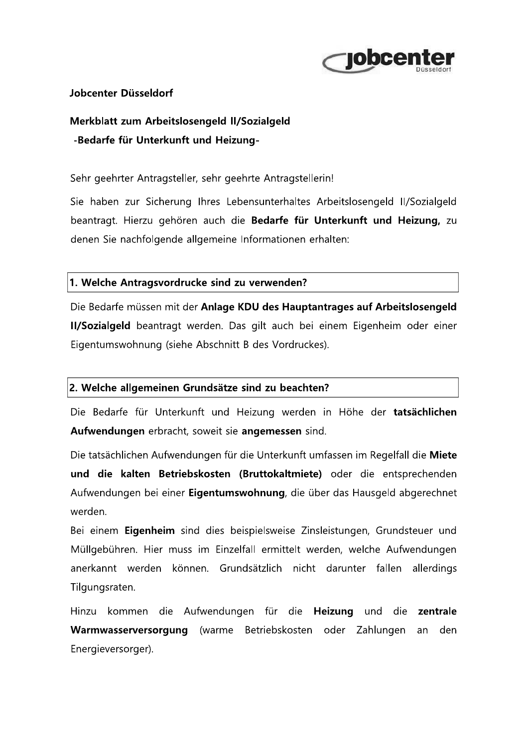

## Jobcenter Düsseldorf

Merkblatt zum Arbeitslosengeld II/Sozialgeld -Bedarfe für Unterkunft und Heizung-

## Sehr geehrter Antragsteller, sehr geehrte Antragstellerin!

Sie haben zur Sicherung Ihres Lebensunterhaltes Arbeitslosengeld II/Sozialgeld beantragt. Hierzu gehören auch die Bedarfe für Unterkunft und Heizung, zu denen Sie nachfolgende allgemeine Informationen erhalten:

## 1. Welche Antragsvordrucke sind zu verwenden?

Die Bedarfe müssen mit der Anlage KDU des Hauptantrages auf Arbeitslosengeld Il/Sozialgeld beantragt werden. Das gilt auch bei einem Eigenheim oder einer Eigentumswohnung (siehe Abschnitt B des Vordruckes).

## 2. Welche allgemeinen Grundsätze sind zu beachten?

Die Bedarfe für Unterkunft und Heizung werden in Höhe der tatsächlichen Aufwendungen erbracht, soweit sie angemessen sind.

Die tatsächlichen Aufwendungen für die Unterkunft umfassen im Regelfall die Miete und die kalten Betriebskosten (Bruttokaltmiete) oder die entsprechenden Aufwendungen bei einer Eigentumswohnung, die über das Hausgeld abgerechnet werden

Bei einem Eigenheim sind dies beispielsweise Zinsleistungen, Grundsteuer und Müllgebühren. Hier muss im Einzelfall ermittelt werden, welche Aufwendungen anerkannt werden können. Grundsätzlich nicht darunter fallen allerdings Tilgungsraten.

Hinzu kommen die Aufwendungen für die Heizung und die zentrale Warmwasserversorgung (warme Betriebskosten oder Zahlungen an den Energieversorger).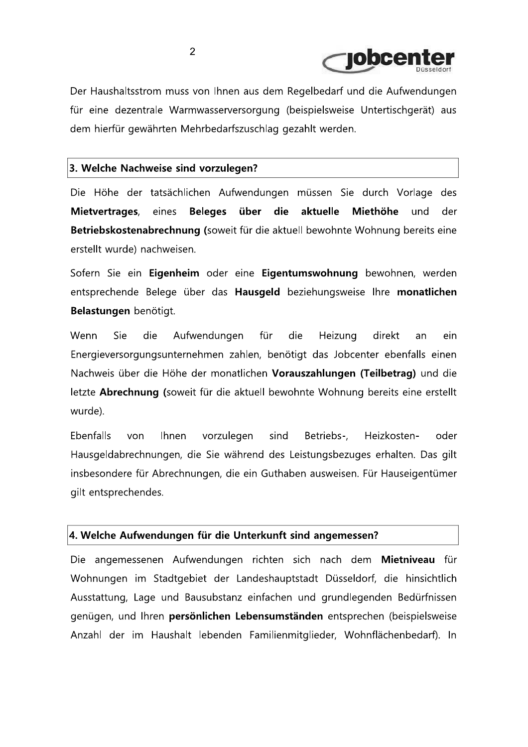

Der Haushaltsstrom muss von Ihnen aus dem Regelbedarf und die Aufwendungen für eine dezentrale Warmwasserversorgung (beispielsweise Untertischgerät) aus dem hierfür gewährten Mehrbedarfszuschlag gezahlt werden.

#### 3. Welche Nachweise sind vorzulegen?

Die Höhe der tatsächlichen Aufwendungen müssen Sie durch Vorlage des eines Beleges über die aktuelle Miethöhe und Mietvertrages, der Betriebskostenabrechnung (soweit für die aktuell bewohnte Wohnung bereits eine erstellt wurde) nachweisen.

Sofern Sie ein Eigenheim oder eine Eigentumswohnung bewohnen, werden entsprechende Belege über das Hausgeld beziehungsweise Ihre monatlichen Belastungen benötigt.

Wenn Sie die Aufwendungen für die Heizung direkt an ein Energieversorgungsunternehmen zahlen, benötigt das Jobcenter ebenfalls einen Nachweis über die Höhe der monatlichen Vorauszahlungen (Teilbetrag) und die letzte Abrechnung (soweit für die aktuell bewohnte Wohnung bereits eine erstellt wurde).

Ebenfalls von **Ihnen** vorzulegen sind Betriebs-. Heizkostenoder Hausgeldabrechnungen, die Sie während des Leistungsbezuges erhalten. Das gilt insbesondere für Abrechnungen, die ein Guthaben ausweisen. Für Hauseigentümer gilt entsprechendes.

#### 4. Welche Aufwendungen für die Unterkunft sind angemessen?

Die angemessenen Aufwendungen richten sich nach dem Mietniveau für Wohnungen im Stadtgebiet der Landeshauptstadt Düsseldorf, die hinsichtlich Ausstattung, Lage und Bausubstanz einfachen und grundlegenden Bedürfnissen genügen, und Ihren persönlichen Lebensumständen entsprechen (beispielsweise Anzahl der im Haushalt lebenden Familienmitglieder, Wohnflächenbedarf). In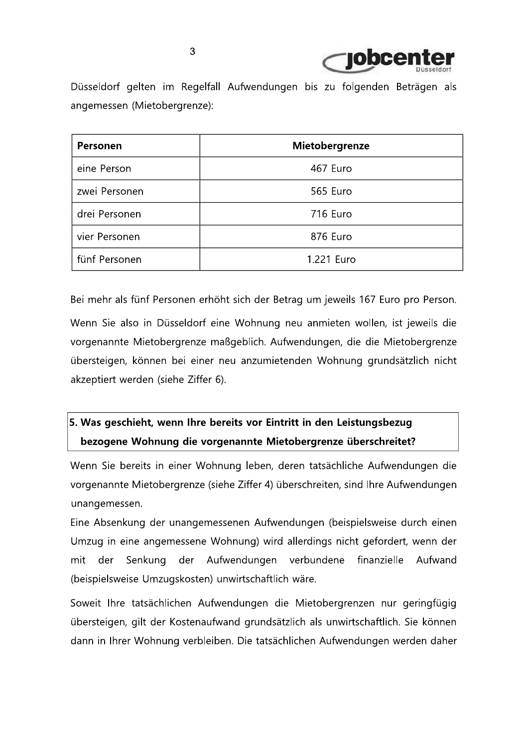

Düsseldorf gelten im Regelfall Aufwendungen bis zu folgenden Beträgen als angemessen (Mietobergrenze):

| Personen      | Mietobergrenze  |
|---------------|-----------------|
| eine Person   | 467 Euro        |
| zwei Personen | 565 Euro        |
| drei Personen | <b>716 Euro</b> |
| vier Personen | 876 Euro        |
| fünf Personen | 1.221 Euro      |

Bei mehr als fünf Personen erhöht sich der Betrag um jeweils 167 Euro pro Person.

Wenn Sie also in Düsseldorf eine Wohnung neu anmieten wollen, ist jeweils die vorgenannte Mietobergrenze maßgeblich. Aufwendungen, die die Mietobergrenze übersteigen, können bei einer neu anzumietenden Wohnung grundsätzlich nicht akzeptiert werden (siehe Ziffer 6).

# 5. Was geschieht, wenn Ihre bereits vor Eintritt in den Leistungsbezug bezogene Wohnung die vorgenannte Mietobergrenze überschreitet?

Wenn Sie bereits in einer Wohnung leben, deren tatsächliche Aufwendungen die vorgenannte Mietobergrenze (siehe Ziffer 4) überschreiten, sind Ihre Aufwendungen unangemessen.

Eine Absenkung der unangemessenen Aufwendungen (beispielsweise durch einen Umzug in eine angemessene Wohnung) wird allerdings nicht gefordert, wenn der finanzielle mit der Senkung der Aufwendungen verbundene Aufwand (beispielsweise Umzugskosten) unwirtschaftlich wäre.

Soweit Ihre tatsächlichen Aufwendungen die Mietobergrenzen nur geringfügig übersteigen, gilt der Kostenaufwand grundsätzlich als unwirtschaftlich. Sie können dann in Ihrer Wohnung verbleiben. Die tatsächlichen Aufwendungen werden daher

3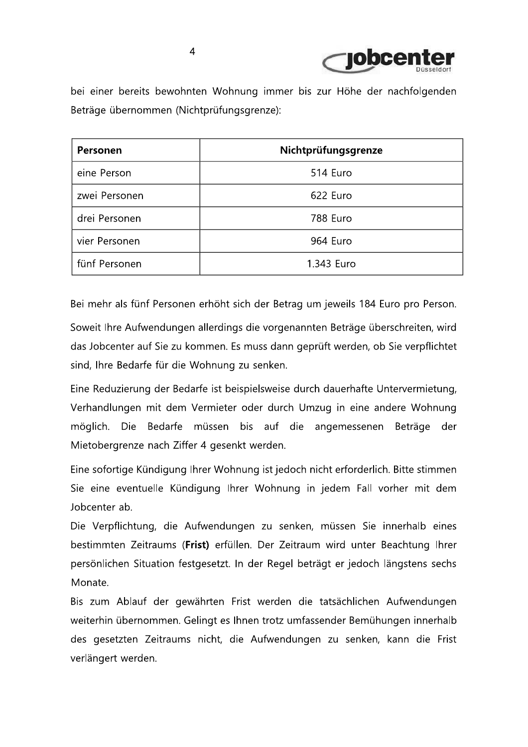

bei einer bereits bewohnten Wohnung immer bis zur Höhe der nachfolgenden Beträge übernommen (Nichtprüfungsgrenze):

| Personen      | Nichtprüfungsgrenze |
|---------------|---------------------|
| eine Person   | 514 Euro            |
| zwei Personen | 622 Euro            |
| drei Personen | 788 Euro            |
| vier Personen | 964 Euro            |
| fünf Personen | 1.343 Euro          |

Bei mehr als fünf Personen erhöht sich der Betrag um jeweils 184 Euro pro Person.

Soweit Ihre Aufwendungen allerdings die vorgenannten Beträge überschreiten, wird das Jobcenter auf Sie zu kommen. Es muss dann geprüft werden, ob Sie verpflichtet sind, Ihre Bedarfe für die Wohnung zu senken.

Eine Reduzierung der Bedarfe ist beispielsweise durch dauerhafte Untervermietung, Verhandlungen mit dem Vermieter oder durch Umzug in eine andere Wohnung möglich. Die Bedarfe müssen bis auf die angemessenen Beträge der Mietobergrenze nach Ziffer 4 gesenkt werden.

Eine sofortige Kündigung Ihrer Wohnung ist jedoch nicht erforderlich. Bitte stimmen Sie eine eventuelle Kündigung Ihrer Wohnung in jedem Fall vorher mit dem Jobcenter ab.

Die Verpflichtung, die Aufwendungen zu senken, müssen Sie innerhalb eines bestimmten Zeitraums (Frist) erfüllen. Der Zeitraum wird unter Beachtung Ihrer persönlichen Situation festgesetzt. In der Regel beträgt er jedoch längstens sechs Monate.

Bis zum Ablauf der gewährten Frist werden die tatsächlichen Aufwendungen weiterhin übernommen. Gelingt es Ihnen trotz umfassender Bemühungen innerhalb des gesetzten Zeitraums nicht, die Aufwendungen zu senken, kann die Frist verlängert werden.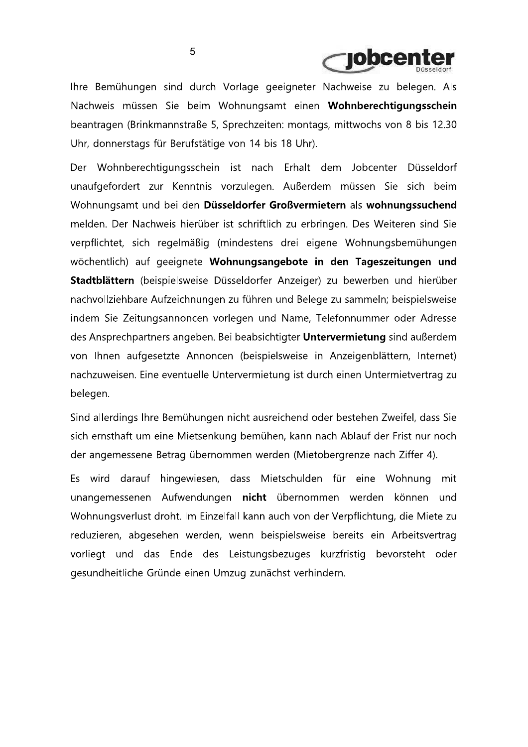

Ihre Bemühungen sind durch Vorlage geeigneter Nachweise zu belegen. Als Nachweis müssen Sie beim Wohnungsamt einen Wohnberechtigungsschein beantragen (Brinkmannstraße 5, Sprechzeiten: montags, mittwochs von 8 bis 12.30 Uhr, donnerstags für Berufstätige von 14 bis 18 Uhr).

Der Wohnberechtigungsschein ist nach Erhalt dem Jobcenter Düsseldorf unaufgefordert zur Kenntnis vorzulegen. Außerdem müssen Sie sich beim Wohnungsamt und bei den Düsseldorfer Großvermietern als wohnungssuchend melden. Der Nachweis hierüber ist schriftlich zu erbringen. Des Weiteren sind Sie verpflichtet, sich regelmäßig (mindestens drei eigene Wohnungsbemühungen wöchentlich) auf geeignete Wohnungsangebote in den Tageszeitungen und Stadtblättern (beispielsweise Düsseldorfer Anzeiger) zu bewerben und hierüber nachvollziehbare Aufzeichnungen zu führen und Belege zu sammeln; beispielsweise indem Sie Zeitungsannoncen vorlegen und Name, Telefonnummer oder Adresse des Ansprechpartners angeben. Bei beabsichtigter Untervermietung sind außerdem von Ihnen aufgesetzte Annoncen (beispielsweise in Anzeigenblättern, Internet) nachzuweisen. Eine eventuelle Untervermietung ist durch einen Untermietvertrag zu belegen.

Sind allerdings Ihre Bemühungen nicht ausreichend oder bestehen Zweifel, dass Sie sich ernsthaft um eine Mietsenkung bemühen, kann nach Ablauf der Frist nur noch der angemessene Betrag übernommen werden (Mietobergrenze nach Ziffer 4).

Es wird darauf hingewiesen, dass Mietschulden für eine Wohnung mit unangemessenen Aufwendungen nicht übernommen werden können und Wohnungsverlust droht. Im Einzelfall kann auch von der Verpflichtung, die Miete zu reduzieren, abgesehen werden, wenn beispielsweise bereits ein Arbeitsvertrag vorliegt und das Ende des Leistungsbezuges kurzfristig bevorsteht oder gesundheitliche Gründe einen Umzug zunächst verhindern.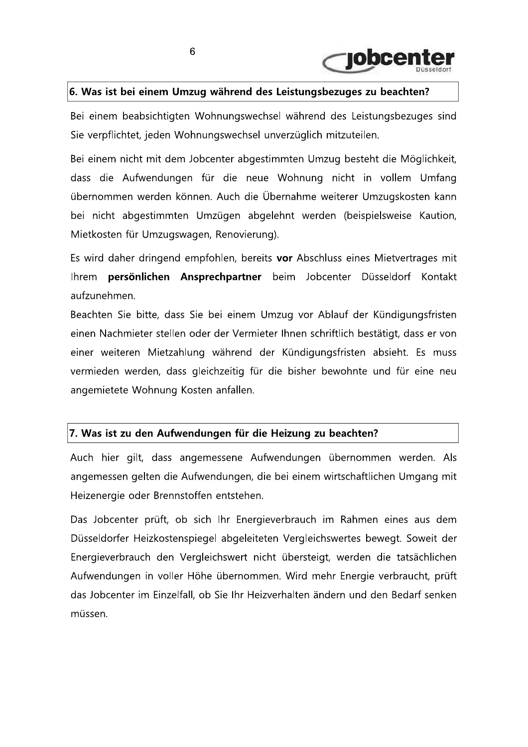

# 6. Was ist bei einem Umzug während des Leistungsbezuges zu beachten?

Bei einem beabsichtigten Wohnungswechsel während des Leistungsbezuges sind Sie verpflichtet, jeden Wohnungswechsel unverzüglich mitzuteilen.

Bei einem nicht mit dem Jobcenter abgestimmten Umzug besteht die Möglichkeit, dass die Aufwendungen für die neue Wohnung nicht in vollem Umfang übernommen werden können. Auch die Übernahme weiterer Umzugskosten kann bei nicht abgestimmten Umzügen abgelehnt werden (beispielsweise Kaution, Mietkosten für Umzugswagen, Renovierung).

Es wird daher dringend empfohlen, bereits vor Abschluss eines Mietvertrages mit Ihrem persönlichen Ansprechpartner beim Jobcenter Düsseldorf Kontakt aufzunehmen.

Beachten Sie bitte, dass Sie bei einem Umzug vor Ablauf der Kündigungsfristen einen Nachmieter stellen oder der Vermieter Ihnen schriftlich bestätigt, dass er von einer weiteren Mietzahlung während der Kündigungsfristen absieht. Es muss vermieden werden, dass gleichzeitig für die bisher bewohnte und für eine neu angemietete Wohnung Kosten anfallen.

## 7. Was ist zu den Aufwendungen für die Heizung zu beachten?

Auch hier gilt, dass angemessene Aufwendungen übernommen werden. Als angemessen gelten die Aufwendungen, die bei einem wirtschaftlichen Umgang mit Heizenergie oder Brennstoffen entstehen.

Das Jobcenter prüft, ob sich Ihr Energieverbrauch im Rahmen eines aus dem Düsseldorfer Heizkostenspiegel abgeleiteten Vergleichswertes bewegt. Soweit der Energieverbrauch den Vergleichswert nicht übersteigt, werden die tatsächlichen Aufwendungen in voller Höhe übernommen. Wird mehr Energie verbraucht, prüft das Jobcenter im Einzelfall, ob Sie Ihr Heizverhalten ändern und den Bedarf senken müssen.